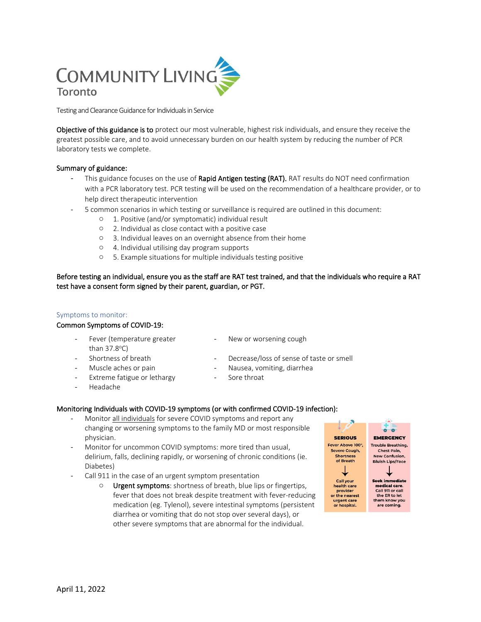# COMMUNITY LIVING Toronto

Testing and Clearance Guidance for Individuals in Service

Objective of this guidance is to protect our most vulnerable, highest risk individuals, and ensure they receive the greatest possible care, and to avoid unnecessary burden on our health system by reducing the number of PCR laboratory tests we complete.

# Summary of guidance:

- This guidance focuses on the use of Rapid Antigen testing (RAT). RAT results do NOT need confirmation with a PCR laboratory test. PCR testing will be used on the recommendation of a healthcare provider, or to help direct therapeutic intervention
- 5 common scenarios in which testing or surveillance is required are outlined in this document:
	- o 1. Positive (and/or symptomatic) individual result
	- o 2. Individual as close contact with a positive case
	- o 3. Individual leaves on an overnight absence from their home
	- o 4. Individual utilising day program supports
	- o 5. Example situations for multiple individuals testing positive

Before testing an individual, ensure you as the staff are RAT test trained, and that the individuals who require a RAT test have a consent form signed by their parent, guardian, or PGT.

# Symptoms to monitor:

# Common Symptoms of COVID-19:

- Fever (temperature greater than  $37.8^{\circ}$ C)
- New or worsening cough
- 
- 
- Extreme fatigue or lethargy The Sore throat
- Headache
- 
- Shortness of breath  $\qquad \qquad \qquad$ Decrease/loss of sense of taste or smell
- Muscle aches or pain Theorem Controllery Nausea, vomiting, diarrhea
	-

# Monitoring Individuals with COVID-19 symptoms (or with confirmed COVID-19 infection):

- Monitor all individuals for severe COVID symptoms and report any changing or worsening symptoms to the family MD or most responsible physician.
- Monitor for uncommon COVID symptoms: more tired than usual, delirium, falls, declining rapidly, or worsening of chronic conditions (ie. Diabetes)
- Call 911 in the case of an urgent symptom presentation
	- o Urgent symptoms: shortness of breath, blue lips or fingertips, fever that does not break despite treatment with fever-reducing medication (eg. Tylenol), severe intestinal symptoms (persistent diarrhea or vomiting that do not stop over several days), or other severe symptoms that are abnormal for the individual.

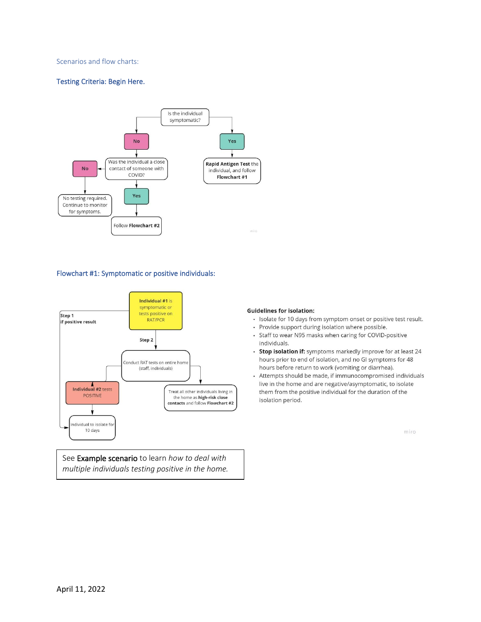## Scenarios and flow charts:

# Testing Criteria: Begin Here.



## Flowchart #1: Symptomatic or positive individuals:



See Example scenario to learn *how to deal with multiple individuals testing positive in the home.*

#### **Guidelines for isolation:**

- · Isolate for 10 days from symptom onset or positive test result.
- Provide support during isolation where possible.
- Staff to wear N95 masks when caring for COVID-positive individuals.
- Stop isolation if: symptoms markedly improve for at least 24 hours prior to end of isolation, and no GI symptoms for 48 hours before return to work (vomiting or diarrhea).
- Attempts should be made, if immunocompromised individuals live in the home and are negative/asymptomatic, to isolate them from the positive individual for the duration of the isolation period.

miro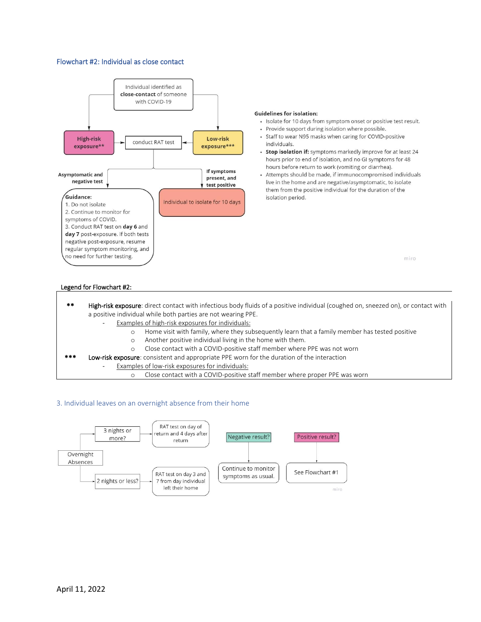## Flowchart #2: Individual as close contact



#### **Guidelines for isolation:**

- · Isolate for 10 days from symptom onset or positive test result.
- Provide support during isolation where possible.
- Staff to wear N95 masks when caring for COVID-positive individuals.
- Stop isolation if: symptoms markedly improve for at least 24 hours prior to end of isolation, and no GI symptoms for 48 hours before return to work (vomiting or diarrhea).
- · Attempts should be made, if immunocompromised individuals live in the home and are negative/asymptomatic, to isolate them from the positive individual for the duration of the isolation period.

miro

#### Legend for Flowchart #2:

- \*\* High-risk exposure: direct contact with infectious body fluids of a positive individual (coughed on, sneezed on), or contact with a positive individual while both parties are not wearing PPE.
	- Examples of high-risk exposures for individuals:
		- o Home visit with family, where they subsequently learn that a family member has tested positive
		- o Another positive individual living in the home with them.
		- o Close contact with a COVID-positive staff member where PPE was not worn
	- Low-risk exposure: consistent and appropriate PPE worn for the duration of the interaction
		- Examples of low-risk exposures for individuals:
			- o Close contact with a COVID-positive staff member where proper PPE was worn

#### 3. Individual leaves on an overnight absence from their home